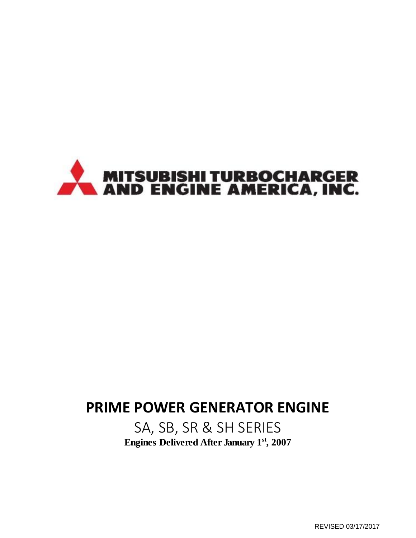

# **PRIME POWER GENERATOR ENGINE**

SA, SB, SR & SH SERIES **Engines Delivered After January 1st, 2007**

REVISED 03/17/2017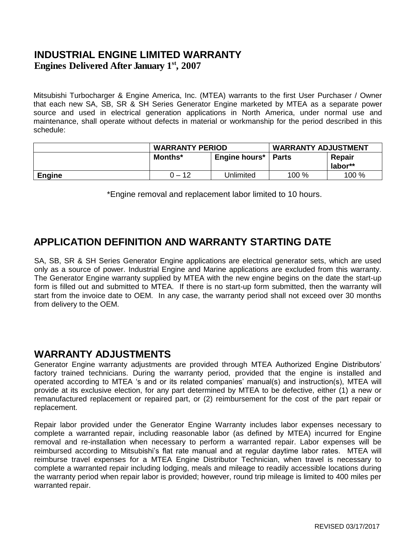#### **INDUSTRIAL ENGINE LIMITED WARRANTY Engines Delivered After January 1st, 2007**

Mitsubishi Turbocharger & Engine America, Inc. (MTEA) warrants to the first User Purchaser / Owner that each new SA, SB, SR & SH Series Generator Engine marketed by MTEA as a separate power source and used in electrical generation applications in North America, under normal use and maintenance, shall operate without defects in material or workmanship for the period described in this schedule:

|               | <b>WARRANTY PERIOD</b> |               | <b>WARRANTY ADJUSTMENT</b> |                   |
|---------------|------------------------|---------------|----------------------------|-------------------|
|               | Months*                | Engine hours* | <b>Parts</b>               | Repair<br>labor** |
| <b>Engine</b> | $0 - 12$               | Unlimited     | 100 %                      | 100 %             |

\*Engine removal and replacement labor limited to 10 hours.

## **APPLICATION DEFINITION AND WARRANTY STARTING DATE**

SA, SB, SR & SH Series Generator Engine applications are electrical generator sets, which are used only as a source of power. Industrial Engine and Marine applications are excluded from this warranty. The Generator Engine warranty supplied by MTEA with the new engine begins on the date the start-up form is filled out and submitted to MTEA. If there is no start-up form submitted, then the warranty will start from the invoice date to OEM. In any case, the warranty period shall not exceed over 30 months from delivery to the OEM.

#### **WARRANTY ADJUSTMENTS**

Generator Engine warranty adjustments are provided through MTEA Authorized Engine Distributors' factory trained technicians. During the warranty period, provided that the engine is installed and operated according to MTEA 's and or its related companies' manual(s) and instruction(s), MTEA will provide at its exclusive election, for any part determined by MTEA to be defective, either (1) a new or remanufactured replacement or repaired part, or (2) reimbursement for the cost of the part repair or replacement.

Repair labor provided under the Generator Engine Warranty includes labor expenses necessary to complete a warranted repair, including reasonable labor (as defined by MTEA) incurred for Engine removal and re-installation when necessary to perform a warranted repair. Labor expenses will be reimbursed according to Mitsubishi's flat rate manual and at regular daytime labor rates. MTEA will reimburse travel expenses for a MTEA Engine Distributor Technician, when travel is necessary to complete a warranted repair including lodging, meals and mileage to readily accessible locations during the warranty period when repair labor is provided; however, round trip mileage is limited to 400 miles per warranted repair.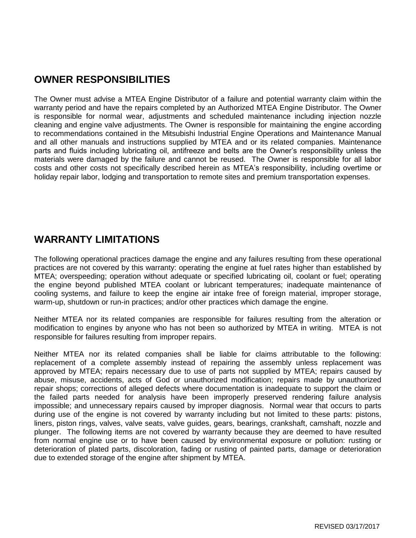# **OWNER RESPONSIBILITIES**

The Owner must advise a MTEA Engine Distributor of a failure and potential warranty claim within the warranty period and have the repairs completed by an Authorized MTEA Engine Distributor. The Owner is responsible for normal wear, adjustments and scheduled maintenance including injection nozzle cleaning and engine valve adjustments. The Owner is responsible for maintaining the engine according to recommendations contained in the Mitsubishi Industrial Engine Operations and Maintenance Manual and all other manuals and instructions supplied by MTEA and or its related companies. Maintenance parts and fluids including lubricating oil, antifreeze and belts are the Owner's responsibility unless the materials were damaged by the failure and cannot be reused. The Owner is responsible for all labor costs and other costs not specifically described herein as MTEA's responsibility, including overtime or holiday repair labor, lodging and transportation to remote sites and premium transportation expenses.

## **WARRANTY LIMITATIONS**

The following operational practices damage the engine and any failures resulting from these operational practices are not covered by this warranty: operating the engine at fuel rates higher than established by MTEA; overspeeding; operation without adequate or specified lubricating oil, coolant or fuel; operating the engine beyond published MTEA coolant or lubricant temperatures; inadequate maintenance of cooling systems, and failure to keep the engine air intake free of foreign material, improper storage, warm-up, shutdown or run-in practices; and/or other practices which damage the engine.

Neither MTEA nor its related companies are responsible for failures resulting from the alteration or modification to engines by anyone who has not been so authorized by MTEA in writing. MTEA is not responsible for failures resulting from improper repairs.

Neither MTEA nor its related companies shall be liable for claims attributable to the following: replacement of a complete assembly instead of repairing the assembly unless replacement was approved by MTEA; repairs necessary due to use of parts not supplied by MTEA; repairs caused by abuse, misuse, accidents, acts of God or unauthorized modification; repairs made by unauthorized repair shops; corrections of alleged defects where documentation is inadequate to support the claim or the failed parts needed for analysis have been improperly preserved rendering failure analysis impossible; and unnecessary repairs caused by improper diagnosis. Normal wear that occurs to parts during use of the engine is not covered by warranty including but not limited to these parts: pistons, liners, piston rings, valves, valve seats, valve guides, gears, bearings, crankshaft, camshaft, nozzle and plunger. The following items are not covered by warranty because they are deemed to have resulted from normal engine use or to have been caused by environmental exposure or pollution: rusting or deterioration of plated parts, discoloration, fading or rusting of painted parts, damage or deterioration due to extended storage of the engine after shipment by MTEA.